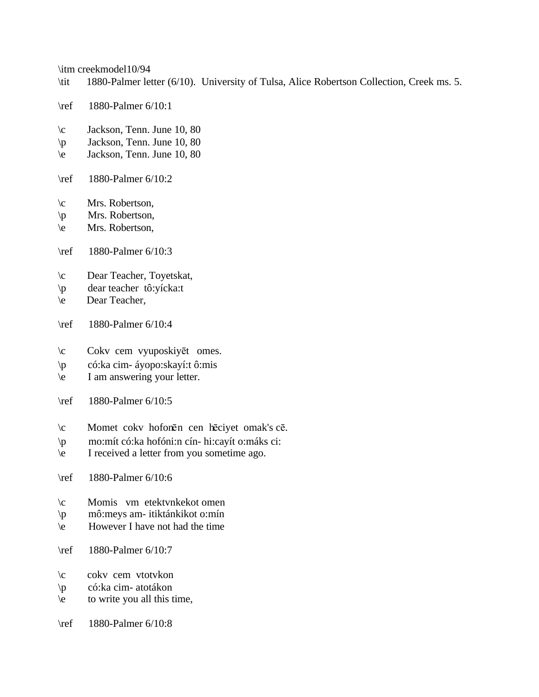\itm creekmodel10/94

- \tit 1880-Palmer letter (6/10). University of Tulsa, Alice Robertson Collection, Creek ms. 5.
- \ref 1880-Palmer 6/10:1
- \c Jackson, Tenn. June 10, 80
- \p Jackson, Tenn. June 10, 80
- \e Jackson, Tenn. June 10, 80
- \ref 1880-Palmer 6/10:2
- \c Mrs. Robertson,
- \p Mrs. Robertson,
- \e Mrs. Robertson,
- \ref 1880-Palmer 6/10:3
- \c Dear Teacher, Toyetskat,
- \p dear teacher tô:yícka:t
- \e Dear Teacher,
- \ref 1880-Palmer 6/10:4
- \c Cokv cem vyuposkiyēt omes.
- \p có:ka cim- áyopo:skayí:t ô:mis
- \e I am answering your letter.
- \ref 1880-Palmer 6/10:5
- \c Momet cokv hofonēn cen hēciyet omak's cē.
- \p mo:mít có:ka hofóni:n cín- hi:cayít o:máks ci:
- \e I received a letter from you sometime ago.
- \ref 1880-Palmer 6/10:6
- \c Momis vm etektvnkekot omen
- \p mô:meys am- itiktánkikot o:mín
- \e However I have not had the time
- \ref 1880-Palmer 6/10:7
- \c cokv cem vtotvkon
- \p có:ka cim- atotákon
- \e to write you all this time,
- \ref 1880-Palmer 6/10:8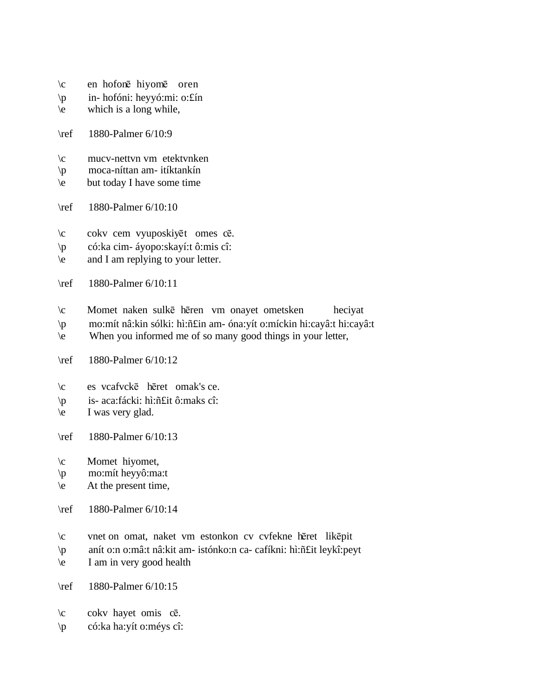- $\c$  en hofonē hiyomē oren
- \p in- hofóni: heyyó:mi: o:£ín
- $\left\langle e \right\rangle$  which is a long while,
- \ref 1880-Palmer 6/10:9
- \c mucv-nettvn vm etektvnken
- \p moca-níttan am- itíktankín
- \e but today I have some time
- \ref 1880-Palmer 6/10:10
- \c cokv cem vyuposkiyēt omes cē.
- \p có:ka cim- áyopo:skayí:t ô:mis cî:
- \e and I am replying to your letter.
- \ref 1880-Palmer 6/10:11
- \c Momet naken sulke heren vm onayet ometsken heciyat
- \p mo:mít nâ:kin sólki: hì:ñ£in am- óna:yít o:míckin hi:cayâ:t hi:cayâ:t
- \e When you informed me of so many good things in your letter,
- \ref 1880-Palmer 6/10:12
- \c es vcafvcke heret omak's ce.
- \p is- aca:fácki: hì:ñ£it ô:maks cî:
- \e I was very glad.
- \ref 1880-Palmer 6/10:13
- \c Momet hiyomet,
- \p mo:mít heyyô:ma:t
- $\leq$  At the present time,
- \ref 1880-Palmer 6/10:14
- \c vnet on omat, naket vm estonkon cv cvfekne hēret likēpit
- \p anít o:n o:mâ:t nâ:kit am- istónko:n ca- cafíkni: hì:ñ£it leykî:peyt
- \e I am in very good health
- \ref 1880-Palmer 6/10:15
- $\c$  cokv hayet omis c $\bar{e}$ .
- \p có:ka ha:yít o:méys cî: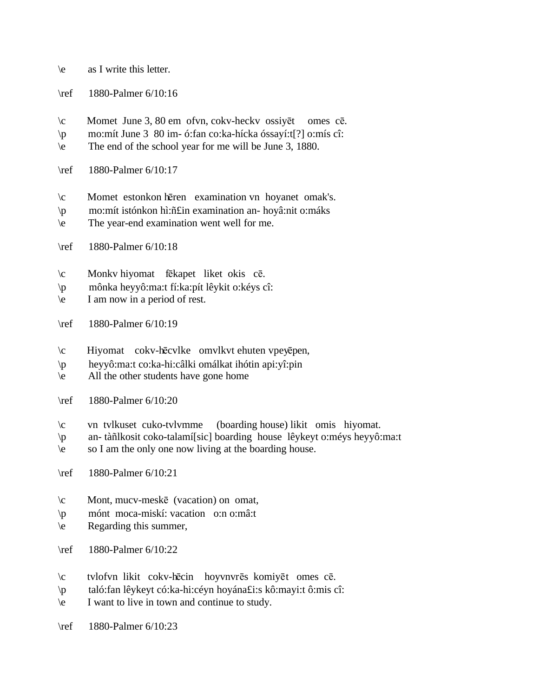- \e as I write this letter.
- \ref 1880-Palmer 6/10:16
- $\c$  Momet June 3, 80 em ofvn, cokv-heckv ossiyet omes ce.
- \p mo:mít June 3 80 im- ó:fan co:ka-hícka óssayí:t[?] o:mís cî:
- \e The end of the school year for me will be June 3, 1880.
- \ref 1880-Palmer 6/10:17
- $\operatorname{\backslash} c$  Momet estonkon hēren examination vn hoyanet omak's.
- \p mo:mít istónkon hì:ñ£in examination an- hoyâ:nit o:máks
- \e The year-end examination went well for me.
- \ref 1880-Palmer 6/10:18
- \c Monkv hiyomat fēkapet liket okis cē.
- \p mônka heyyô:ma:t fí:ka:pít lêykit o:kéys cî:
- \e I am now in a period of rest.
- \ref 1880-Palmer 6/10:19
- $\c$  Hiyomat cokv-hēcvlke omvlkvt ehuten vpeyēpen,
- \p heyyô:ma:t co:ka-hi:câlki omálkat ihótin api:yî:pin
- \e All the other students have gone home
- \ref 1880-Palmer 6/10:20
- \c vn tvlkuset cuko-tvlvmme (boarding house) likit omis hiyomat.
- \p an- tàñlkosit coko-talamí[sic] boarding house lêykeyt o:méys heyyô:ma:t
- \e so I am the only one now living at the boarding house.
- \ref 1880-Palmer 6/10:21
- $\c$  Mont, mucv-meske (vacation) on omat,
- \p mónt moca-miskí: vacation o:n o:mâ:t
- \e Regarding this summer,
- \ref 1880-Palmer 6/10:22
- \c tvlofvn likit cokv-hēcin hoyvnvrēs komiyēt omes cē.
- \p taló:fan lêykeyt có:ka-hi:céyn hoyána£i:s kô:mayi:t ô:mis cî:
- \e I want to live in town and continue to study.
- \ref 1880-Palmer 6/10:23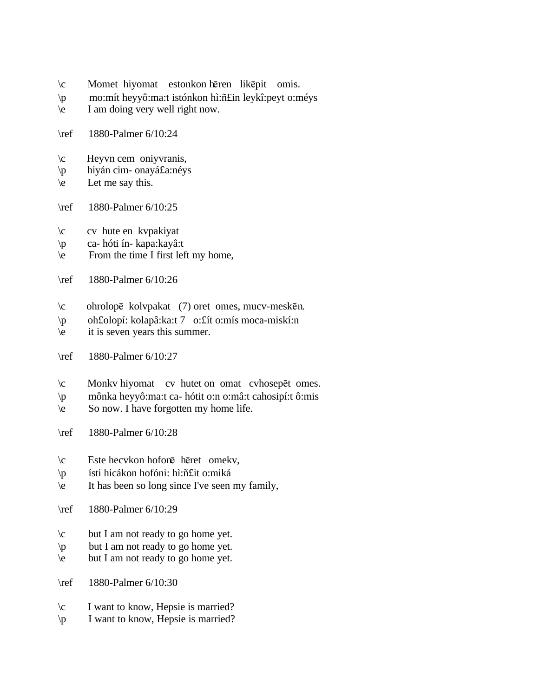- \c Momet hiyomat estonkon hēren likēpit omis.
- \p mo:mít heyyô:ma:t istónkon hì:ñ£in leykî:peyt o:méys
- \e I am doing very well right now.
- \ref 1880-Palmer 6/10:24
- \c Heyvn cem oniyvranis,
- \p hiyán cim- onayá£a:néys
- $\text{e}$  Let me say this.
- \ref 1880-Palmer 6/10:25
- \c cv hute en kvpakiyat
- \p ca- hóti ín- kapa:kayâ:t
- $\text{From}$  the time I first left my home,
- \ref 1880-Palmer 6/10:26
- $\c$  ohrolopē kolvpakat (7) oret omes, mucv-meskēn.
- \p oh£olopí: kolapâ:ka:t 7 o:£ít o:mís moca-miskí:n
- \e it is seven years this summer.
- \ref 1880-Palmer 6/10:27
- $\operatorname{C}$  Monkv hiyomat cv hutet on omat cvhosep et omes.
- \p mônka heyyô:ma:t ca- hótit o:n o:mâ:t cahosipí:t ô:mis
- $\text{So now. I have forgotten my home life.}$
- \ref 1880-Palmer 6/10:28
- $\c$  Este hecvkon hofonē hēret omekv,
- \p ísti hicákon hofóni: hì:ñ£it o:miká
- \e It has been so long since I've seen my family,
- \ref 1880-Palmer 6/10:29
- \c but I am not ready to go home yet.
- \p but I am not ready to go home yet.
- $\neq$  but I am not ready to go home yet.
- \ref 1880-Palmer 6/10:30
- \c I want to know, Hepsie is married?
- \p I want to know, Hepsie is married?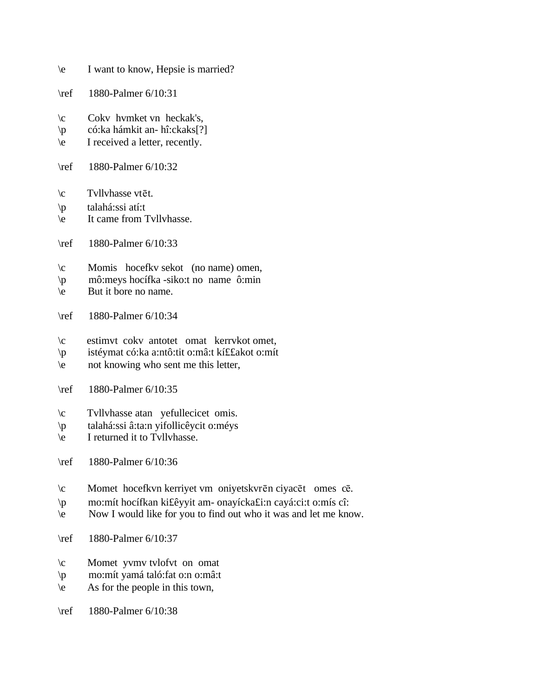- \e I want to know, Hepsie is married?
- \ref 1880-Palmer 6/10:31
- \c Cokv hvmket vn heckak's,
- \p có:ka hámkit an- hî:ckaks[?]
- \e I received a letter, recently.
- \ref 1880-Palmer 6/10:32
- $\c$  Tvllvhasse vtēt.
- \p talahá:ssi atí:t
- \e It came from Tvllvhasse.
- \ref 1880-Palmer 6/10:33
- \c Momis hocefkv sekot (no name) omen,
- \p mô:meys hocífka -siko:t no name ô:min
- \e But it bore no name.
- \ref 1880-Palmer 6/10:34
- \c estimvt cokv antotet omat kerrvkot omet,
- \p istéymat có:ka a:ntô:tit o:mâ:t kí££akot o:mít
- \e not knowing who sent me this letter,
- \ref 1880-Palmer 6/10:35
- \c Tvllvhasse atan yefullecicet omis.
- \p talahá:ssi â:ta:n yifollicêycit o:méys
- \e I returned it to Tvllvhasse.

\ref 1880-Palmer 6/10:36

- $\operatorname{Comet}$  hocefkvn kerriyet vm oniyetskvrēn ciyacēt omes cē.
- \p mo:mít hocífkan ki£êyyit am- onayícka£i:n cayá:ci:t o:mís cî:
- \e Now I would like for you to find out who it was and let me know.
- \ref 1880-Palmer 6/10:37
- \c Momet yvmv tvlofvt on omat
- \p mo:mít yamá taló:fat o:n o:mâ:t
- $\leq$  As for the people in this town,
- \ref 1880-Palmer 6/10:38